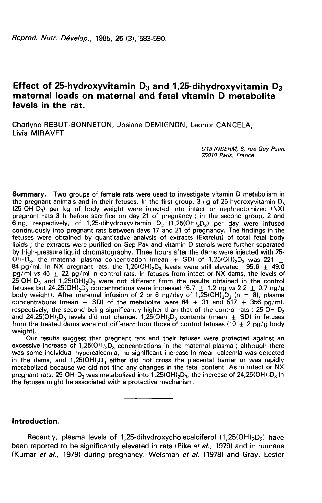# Effect of 25-hydroxyvitamin  $D_3$  and 1,25-dihydroxyvitamin  $D_3$ maternal loads on maternal and fetal vitamin D metabolite levels in the rat.

Charlyne REBUT-BONNETON, Josiane DEMIGNON, Leonor CANCELA, Livia MIRAVET

> U78 /NSERM, 6, rue Guy-Patin, 75010 Paris, France.

Summary. Two groups of female rats were used to investigate vitamin D metabolism in the pregnant animals and in their fetuses. In the first group, 3  $\mu$ g of 25-hydroxyvitamin D<sub>3</sub> (25-OH-D<sub>3</sub>) per kg of body weight were injected into intact or nephrectomized (NX) **Summary.** Two groups of female rats were used to investigate vitamin D metabolism in<br>the pregnant animals and in their fetuses. In the first group, 3 µg of 25-hydroxyvitamin D<sub>3</sub><br>(25-OH-D<sub>3</sub>) per kg of body weight were i **Summary.** Two groups of female rats were used to investigate vitamin D metabolism in<br>the pregnant animals and in their fetuses. In the first group, 3 µg of 25-hydroxyvitamin D<sub>3</sub><br>(25-OH-D<sub>3</sub>) per kg of body weight were i continuously into pregnant rats between days 17 and 21 of pregnancy. The findings in the fetuses were obtained by quantitative analysis of extracts (Extrelut) of total fetal body lipids ; the extracts were purified on Sep Pak and vitamin D sterols were further separated by high-pressure liquid chromatography. Three hours after the dams were injected with 25 of the matter as 3 in before sacrifice on day 21 of pregnancy, in the second group, 2 and<br>
for the material plasma continuously into pregnant rats between days 17 and 21 of pregnancy. The findings in the<br>
fettuses were ob 84 pg/ml in Ontrol at the 1,2510HI and 21 of pregnancy. The findings in the fetuses were obtained by quantitative analysis of extracts (Extrelut) of total fetal body lipids; the extracts were purified on Sep Pak and vitam pg/ml vs 45  $\pm$  22 pg/ml in control rats. In fetuses from intact or NX dams, the levels of 25-OH-D<sub>3</sub> and 1,25(OH)<sub>2</sub>D<sub>3</sub> were not different from the results obtained in the control OH-D<sub>3</sub>, the maternal plasma concentration (mean  $\pm$  SD) of 1,25(OH)<sub>2</sub>D<sub>3</sub> was 221  $\pm$ <br>84 pg/ml. In NX pregnant rats, the 1,25(OH)<sub>2</sub>D<sub>3</sub> levels were still elevated : 95.6  $\pm$  49.0<br>pg/ml *vs* 45  $\pm$  22 pg/ml in contr lipids ; the extracts were purified on Sep Pak and vitamin D sterols were further separated<br>by high-pressure liquid chromatography. Three hours after the dams were injected with 25-<br>OH-D<sub>3</sub>, the maternal plasma concentrat and 24,25(OH) $_2$ D $_3$  levels did not change. 1,25(OH) $_2$ D $_3$  contents (mean  $\pm$  SD) in fetuses respectively, the second being significantly higher than that of the control rats ;  $\,$ 37.111. The set of the metabolite were stated to the control rates of the text of the set of the set of H-D<sub>3</sub> and 1,25(OH)<sub>2</sub>D<sub>3</sub> were not different from the results obtained in the control<br>H-D<sub>3</sub> and 1,25(OH)<sub>2</sub>D<sub>3</sub> wer from the treated dams were not different from those of control fetuses (10  $\pm$  2 pg/g body weight). concentrations (mean  $\pm$  3D) of the metabolite were  $64 \pm 31$  and  $317 \pm 350$  pg/m,<br>respectively, the second being significantly higher than that of the control rats ; 25-OH-D<sub>3</sub><br>and 24,25(OH)<sub>2</sub>D<sub>3</sub> levels did not chang

Our results suggest that pregnant rats and their fetuses were protected against an excessive increase of 1,25(OH)<sub>2</sub>D<sub>3</sub> concentrations in the maternal plasma; although there was some individual hypercalcemia, no significant increase in mean calcemia was detected<br>in the dams, and 1,25(OH)<sub>2</sub>D<sub>3</sub> either did not cross the placental barrier or was rapidly and 24,25(OH)<sub>2</sub>D<sub>3</sub> levels did not change. 1,25(OH)<sub>2</sub>D<sub>3</sub> contents (theart  $\pm$  3D) in let<br>from the treated dams were not different from those of control fetuses (10  $\pm$  2 pg/g body<br>weight).<br>Our results suggest that pr weight).<br>
Our results suggest that pregnant rats and their fetuses were protected against an<br>
excessive increase of 1,25(OH)<sub>2</sub>D<sub>3</sub> concentrations in the maternal plasma; although there<br>
was some individual hypercalcemia, the fetuses might be associated with a protective mechanism.

# Introduction.

 $R_{\text{e}}$ <br>  $\overline{\text{E}}$ <br>  $\overline{\text{E}}$ <br>  $\overline{\text{E}}$ <br>  $\overline{\text{E}}$ <br>  $\overline{\text{E}}$ <br>  $\overline{\text{E}}$ <br>  $\overline{\text{E}}$ <br>  $\overline{\text{E}}$ <br>  $\overline{\text{E}}$ <br>  $\overline{\text{E}}$ <br>  $\overline{\text{E}}$ <br>  $\overline{\text{E}}$ <br>  $\overline{\text{E}}$ <br>  $\overline{\text{E}}$ <br>  $\overline{\text{E}}$ <br>  $\overline{\text{E}}$ <br>  $\overline{\text{E}}$ <br>  $\overline{\text$ been reported to be significantly elevated in rats (Pike et al., 1979) and in humans (Kumar et al., 1979) during pregnancy. Weisman et al. (1978) and Gray, Lester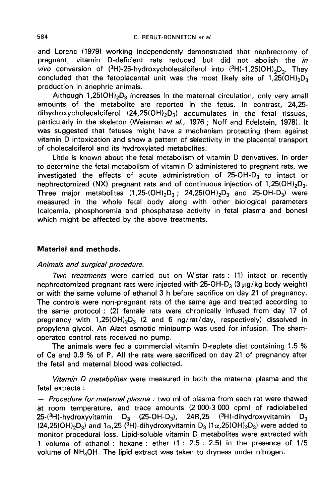and Lorenc (1979) working independently demonstrated that nephrectomy of pregnant, vitamin D-deficient rats reduced but did not abolish the in C. REBUT-BONNETON *et al.*<br>
and Lorenc (1979) working independently demonstrated that nephrectomy of<br>
pregnant, vitamin D-deficient rats reduced but did not abolish the *in*<br>
vivo conversion of (<sup>3</sup>H)-25-hydroxycholecalci concluded that the fetoplacental production in anephric animals. UT-BONNETON *et al.*<br>
bendently demonstrated that nephrectomy of<br>
ats reduced but did not abolish the *in*<br>
xycholecalciferol into  $({}^{3}H)$ -1,25(OH)<sub>2</sub>D<sub>3</sub>. They<br>
unit was the most likely site of 1,25(OH)<sub>2</sub>D<sub>3</sub><br>
ce in t Lorenc (1979) working independently demonstrated that nephrectomy of<br>nant, vitamin D-deficient rats reduced but did not abolish the *in*<br>conversion of (<sup>3</sup>H)-25-hydroxycholecalciferol into (<sup>3</sup>H)-1,25(OH)<sub>2</sub>D<sub>3</sub>. They<br>lud

amounts of the metabolite are reported in the fetus. In contrast, 24,25- Although 1,25(OH)<sub>2</sub>D<sub>3</sub> increases in the maternal circulation, only very small amounts of the metabolite are reported in the fetus. In contrast, 24,25-dihydroxycholecalciferol (24,25(OH)<sub>2</sub>D<sub>3</sub>) accumulates in the fetal particularly in the skeleton (Weisman et al., 1976 ; Noff and Edelstein, 1978). It was suggested that fetuses might have a mechanism protecting them against vitamin D intoxication and show a pattern of selectivity in the placental transport of cholecalciferol and its hydroxylated metabolites.

Little is known about the fetal metabolism of vitamin D derivatives. In order to determine the fetal metabolism of vitamin D administered to pregnant rats, we investigated the effects of acute administration of  $25$ -OH-D<sub>3</sub> to intact or vitamin D intoxication and show a pattern of selectivity in the placental transport<br>of cholecalciferol and its hydroxylated metabolites.<br>Little is known about the fetal metabolism of vitamin D derivatives. In order<br>to det Three major metabolites So might nive a mechanism protecting them against<br>show a pattern of selectivity in the placental transport<br>droxylated metabolites.<br>he fetal metabolism of vitamin D derivatives. In order<br>polism of vitamin D administered to  $\alpha$  1,25(OH)<sub>2</sub>D<sub>3</sub>.<br>
watives. In order<br>
regnant rats, we<br>  $\alpha$  to intact or<br>
of 1,25(OH)<sub>2</sub>D<sub>3</sub>.<br>
S-OH-D<sub>3</sub>) were measured in the whole fetal body along with other biological parameters (calcemia, phosphoremia and phosphatase activity in fetal plasma and bones) which might be affected by the above treatments.

# Material and methods.

### Animals and surgical procedure.

Two treatments were carried out on Wistar rats : (1) intact or recently nephrectomized pregnant rats were injected with 25-OH-D<sub>3</sub> (3 µg/kg body weight) or with the same volume of ethanol 3 h before sacrifice on day 21 of pregnancy. The controls were non-pregnant rats of the same age and treated according to the same protocol ; (2) female rats were chronically infused from day 17 of Two treatments were carried out on Wistar rats : (1) intact or recently<br>nephrectomized pregnant rats were injected with 25-OH-D<sub>3</sub> (3 µg/kg body weight)<br>or with the same volume of ethanol 3 h before sacrifice on day 21 of propylene glycol. An Alzet osmotic minipump was used for infusion. The shamoperated control rats received no pump.

The animals were fed a commercial vitamin D-replete diet containing 1.5 % of Ca and 0.9 % of P. All the rats were sacrificed on day 21 of pregnancy after the fetal and maternal blood was collected.

Vitamin D metabolites were measured in both the maternal plasma and the fetal extracts :

- Procedure for maternal plasma: two ml of plasma from each rat were thawed at room temperature, and trace amounts  $(2\ 000-3\ 000\ \text{cpm})$  of radiolabelled<br>25- $(3H)$ -hydroxyvitamin D<sub>3</sub>  $(25-OH-D<sub>3</sub>)$ , 24R,25  $(3H)$ -dihydroxyvitamin D<sub>3</sub> beginality with "1,2017/293 v2 and o ngr/lat/day, respectively) dissolved im<br>propylene glycol. An Alzet osmotic minipump was used for infusion. The sham-<br>operated control rats received no pump.<br>The animals were fed a comm operated control rats received no pump.<br>
The animals were fed a commercial vitamin D-replete diet containing 1.5 %<br>
of Ca and 0.9 % of P. All the rats were sacrificed on day 21 of pregnancy after<br>
the fetal and maternal b monitor procedural loss. Lipid-soluble vitamin D metabolites were extracted with 1 volume of ethanol : hexane : ether (1 : 2.5 : 2.5) in the presence of 1/5 (24,25(OH)<sub>2</sub>D<sub>3</sub>) and 1 $\alpha$ ,25 (<sup>3</sup>H)-dihydroxyvitamin D<sub>3</sub> (1 $\alpha$ ,25(OH)<sub>2</sub>D<sub>3</sub>) were actracted at monitor procedural loss. Lipid-soluble vitamin D metabolites were extracted 1 volume of ethanol : hexane : ether (1 : 2.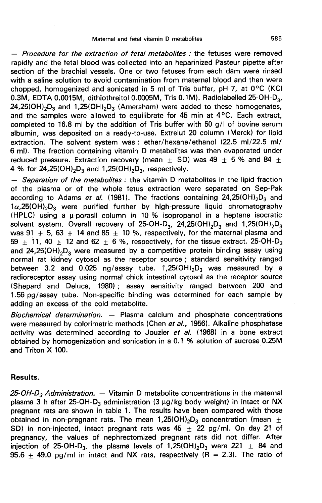- Procedure for the extraction of fetal metabolites : the fetuses were removed rapidly and the fetal blood was collected into an heparinized Pasteur pipette after section of the brachial vessels. One or two fetuses from each dam were rinsed with a saline solution to avoid contamination from maternal blood and then were chopped, homogenized and sonicated in 5 ml of Tris buffer, pH 7, at 0°C (KCI - *Procedure for the extraction of tetal metabolites :* the fetuses were removed rapidly and the fetal blood was collected into an heparinized Pasteur pipette after section of the brachial vessels. One or two fetuses from 0.3M, EDTA 0.0015M, dithiothreitol 0.0005M, Tris 0.1M). Radiolabelled . collected into an heparinized Pasteur pipette after<br>One or two fetuses from each dam were rinsed<br>ontamination from maternal blood and then were<br>icated in 5 ml of Tris buffer, pH 7, at 0°C (KCl<br>itol 0.0005M, Tris 0.1M). Rad completed to 16.8 ml by the addition of Tris buffer with 50  $g/1$  of bovine serum albumin, was deposited on a ready-to-use. Extrelut 20 column (Merck) for lipid extraction. The solvent system was : ether/hexane/ethanol (22.5 ml/22.5 ml/6 ml). The fraction containing vitamin D metabolites was then evapo extraction. The solvent system was : ether/hexane/ethanol (22.5 ml/22.5 ml/ 6 ml). The fraction containing vitamin D metabolites was then evaporated under reduced pressure. Extraction recovery (mean  $\pm$  SD) was 49  $\pm$  5 % and 84  $\pm$ and the samples were allowed to equilibrate for 45 min at 4°C. Each extract, completed to 16.8 ml by the addition of Tris buffer with 50 g/l of bovine serum albumin, was deposited on a ready-to-use. Extrelut 20 column (Me

of the plasma or of the whole fetus extraction were separated on Sep-Pak according to Adams *et al.* (1981). The fractions containing 24,25(OH)<sub>2</sub>D<sub>3</sub> and according to Adams et al. (1981). The fractions containing 24,25(OH) 2D3 and  $1.25$  (OH)  $_2D_3$  and  $1.25(OH)_2D_3$ , respectively.<br>  $-$  *Separation of the metabolites :* the vitamin D metabolites in the lipid fraction<br>
of 1a, 2510H)<sub>2</sub>D<sub>3</sub> and 1,2510H)<sub>2</sub>D<sub>3</sub>, respectively.<br>
4 % for 24,2510H)<sub>2</sub>D<sub>3</sub> and 1,2510H)<sub>2</sub>D<sub>3</sub>, respectively.<br>
4 % for 24,2510H)<sub>2</sub>D<sub>3</sub> and 1,2510H)<sub>2</sub>D<sub>3</sub>, respectively.<br>
4 % for 24,2510H)<sub>2</sub>D<sub>3</sub> and 1,2510H)<sub>2</sub>D<sub>3</sub>, (HPLC) using a  $\mu$ -porasil column in 10 % isopropanol in a heptane isocratic solvent system. Overall recovery of was 91  $\pm$  5, 63  $\pm$  14 and 85  $\pm$  10 %, respectively, for the maternal plasma and 25, isoperatory.<br>
26, vitamin D metabolites in the lipid fraction<br>
18 extraction were separated on Sep-Pak<br>
25 for the fractions containing 24,25(OH)<sub>2</sub>D<sub>3</sub> and<br>
25 by high-pressure liquid chromatography<br>
10 % isopropanol 59 and 24,25(OH)<sub>2</sub>D<sub>2</sub> were measured by a competitive protein binding assay using 25(OH)<sub>2</sub>D<sub>3</sub> were purified further by high-pressure liquid chromatography<br>
LC) using a  $\mu$ -porasil column in 10 % isopropanol in a heptane isocratic<br>
tent system. Overall recovery of 25-OH-D<sub>3</sub>, 24,25(OH)<sub>2</sub>D<sub>3</sub> and 1,2 raing to Adams *et al.* (1981). The fractions containing 24,25(OH)<sub>2</sub>D<sub>3</sub> and 5(OH)<sub>2</sub>D<sub>3</sub> were purified further by high-pressure liquid chromatography C) using a  $\mu$ -porasil column in 10 % isopropanol in a heptane isocr normal rat kidney cytosol as the receptor source ; standard sensitivity ranged<br>between 3.2 and 0.025 ng/assay tube. 1,25(OH)<sub>2</sub>D<sub>3</sub> was measured by a solvent system. Overall recovery of 25-OH-D<sub>3</sub>, 24,25(OH)<sub>2</sub>D<sub>3</sub> and 1,25(OH)<sub>2</sub>D<sub>3</sub> was 91  $\pm$  5, 63  $\pm$  14 and 85  $\pm$  10 %, respectively, for the maternal plasma and 59  $\pm$  11, 40  $\pm$  12 and 62  $\pm$  6 %, respective radioreceptor assay using normal chick intestinal cytosol as the receptor source (Shepard and Deluca, 1980) ; assay sensitivity ranged between 200 and 1.56 pg/assay tube. Non-specific binding was determined for each sample by adding an excess of the cold metabolite.

Biochemical determination. ― Plasma calcium and phosphate concentrations were measured by colorimetric methods (Chen et al., 1956). Alkaline phosphatase activity was determined according to Jouzier et al. (1968) in a bone extract obtained by homogenization and sonication in a 0.1 % solution of sucrose 0.25M and Triton X 100.

### Results.

**Results.**<br>25-*OH-D<sub>3</sub> Administration.* — Vitamin D metabolite concentrations in the maternal<br>plasma 3 h after 25-OH-D<sub>3</sub> administration (3 µg/kg body weight) in intact or NX **Results.**<br>25-*OH-D<sub>3</sub> Administration.* — Vitamin D metabolite concentrations in the maternal<br>plasma 3 h after 25-OH-D<sub>3</sub> administration (3 μg/kg body weight) in intact or NX<br>pregnant rats are shown in table 1. The result pregnant rats are shown in table 1. The results have been compared with those obtained in non-pregnant rats. The mean  $1,25(OH)_2D_3$  concentration (mean  $\pm$ **Results.**<br>
25-*OH-D<sub>3</sub> Administration.* — Vitamin D metabolite concentrations in the maternal<br>
plasma 3 h after 25-OH-D<sub>3</sub> administration (3 µg/kg body weight) in intact or NX<br>
pregnant rats are shown in table 1. The res pregnancy, the values of nephrectomized pregnant rats did not differ. After injection of 25-OH-D<sub>3</sub>, the plasma levels of 1,25(OH)<sub>2</sub>D<sub>3</sub> were 221  $\pm$  84 and plasma 3 h after 25-OH-D<sub>3</sub> administration (3 µg/kg body weight) in intact or NX<br>pregnant rats are shown in table 1. The results have been compared with those<br>obtained in non-pregnant rats. The mean 1,25(OH)<sub>2</sub>D<sub>3</sub> concen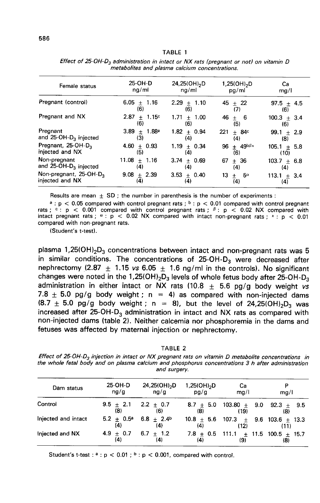#### TABLE 1

| Female status                                         | 25-OH-D<br>nq/ml               | 24,25(OH) <sub>2</sub> D<br>nq/ml | $1,25(OH)_{2}D$<br>pg/ml          | Cа<br>mg/l              |
|-------------------------------------------------------|--------------------------------|-----------------------------------|-----------------------------------|-------------------------|
| Pregnant (control)                                    | $6.05 + 1.16$<br>(6)           | $2.29 + 1.10$<br>(6)              | 45 $\pm$ 22<br>(7)                | 97.5 $\pm$ 4.5<br>(6)   |
| Pregnant and NX                                       | $+ 1.15c$<br>2.87<br>(6)       | 1.71<br>$+ 1.00$<br>(6)           | 46<br>$+ 6$<br>(5)                | $100.3 \pm 3.4$<br>(6)  |
| Pregnant<br>and $25$ -OH-D <sub>3</sub> injected      | $3.89 \pm 1.88^{\circ}$<br>(3) | $1.82 + 0.94$<br>(4)              | 221<br>$± 84$ <sup>c</sup><br>(4) | $99.1 \pm 2.9$<br>(8)   |
| Pregnant, 25-OH-D <sub>3</sub><br>injected and NX     | 4.60 $\pm$ 0.93<br>(5)         | 1.19 $\pm$ 0.34<br>(4)            | 96 $\pm$ 49b $\beta x$<br>(6)     | $105.1 \pm 5.8$<br>(10) |
| Non-pregnant<br>and 25-OH-D <sub>3</sub> injected     | $11.08 + 1.16$<br>(4)          | $3.74 + 0.69$<br>(4)              | $+36$<br>67<br>(4)                | $103.7 + 6.8$<br>(4)    |
| Non-pregnant, 25-OH-D <sub>3</sub><br>injected and NX | $9.08 \pm 2.39$<br>(4)         | $3.53 + 0.40$<br>(4)              | 13<br>$5^\alpha$<br>$\pm$<br>(4)  | $113.1 \pm 3.4$<br>(4)  |

Effect of 25-OH-D<sub>3</sub> administration in intact or NX rats (pregnant or not) on vitamin D metabolites and plasma calcium concentrations.

Results are mean  $\pm$  SD; the number in parenthesis is the number of experiments:

<sup>a</sup>:  $p < 0.05$  compared with control pregnant rats; <sup>b</sup>:  $p < 0.01$  compared with control pregnant rats; <sup>c</sup>:  $p < 0.001$  compared with control pregnant rats; <sup>β</sup>:  $p < 0.02$  NX compared with intact pregnant rats; <sup>x</sup>:  $p < 0$ 

compared with non-pregnant rats.<br>
(Student's t-test).<br>
plasma 1,25(OH)<sub>2</sub>D<sub>3</sub> concentrations between intact and non-pregnant rats was 5<br>
in similar conditions. The concentrations of 25-OH-D<sub>3</sub> were decreased after<br>
nephre (Student's t-test).<br>
plasma 1,25(OH)<sub>2</sub>D<sub>3</sub> concentrations between intact and non-pregnant rats was 5<br>
in similar conditions. The concentrations of 25-OH-D<sub>3</sub> were decreased after<br>
nephrectomy (2.87  $\pm$  1.15 *vs* 6.05  $\$ changes were noted in the 1,25(OH) $_2$ D $_3$  levels of whole fetus body after . 7.8  $\pm$  5.0 pg/g body weight ; n = 4) as compared with non-injected dams (8.7  $\pm$  5.0 pg/g body weight ; n = 8), but the level of 24,25(OH)<sub>2</sub>D<sub>3</sub> was plasma 1,25(OH)<sub>2</sub>D<sub>3</sub> concentrations between intact and non-pregnant rats was b<br>in similar conditions. The concentrations of 25-OH-D<sub>3</sub> were decreased after<br>nephrectomy (2.87  $\pm$  1.15 *vs* 6.05  $\pm$  1.6 ng/ml in the con non-injected dams (table 2). Neither calcemia nor phosphoremia in the dams and fetuses was affected by maternal injection or nephrectomy.

TABLE 2

Effect of 25-OH-D<sub>3</sub> injection in intact or NX pregnant rats on vitamin D metabolite concentrations in the whole fetal body and on plasma calcium and phosphorus concentrations 3 h after administration and surgery.

| Dam status          | 25-OH-D<br>ng/g                    | 24,25(OH) <sub>2</sub> D<br>ng/g | $1,25(OH)$ <sub>2</sub> D<br>pg/g | Ca<br>mq/l                                             | P<br>mg/l |
|---------------------|------------------------------------|----------------------------------|-----------------------------------|--------------------------------------------------------|-----------|
| Control             | $9.5 \pm 2.1$ 2.2 $\pm$ 0.7<br>(8) | (6)                              | (8)                               | $8.7 \pm 5.0$ 103.80 $\pm$ 9.0 92.3 $\pm$ 9.5<br>(19)  | (8)       |
| Injected and intact | $5.2 + 0.5^a$<br>(4)               | $6.8 + 2.4^{\circ}$<br>(4)       | (4)                               | $10.8 \pm 5.6$ 107.3 $\pm$ 9.6 103.6 + 13.3<br>(12)    | (11)      |
| Injected and NX     | $4.9 + 0.7$<br>(4)                 | $6.7 + 1.2$<br>(4)               | (4)                               | 7.8 $\pm$ 0.5 111.1 $\pm$ 11.5 100.5 $\pm$ 15.7<br>(9) | (8)       |

Student's t-test:  $a : p < 0.01$ ;  $b : p < 0.001$ , compared with control.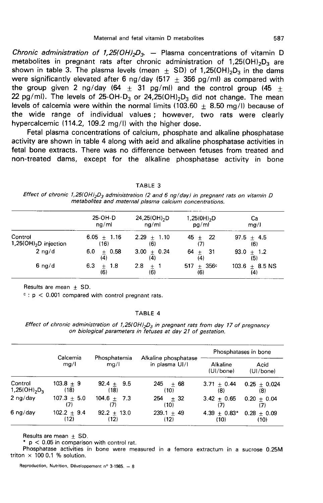Maternal and fetal vitamin D metabolites 587<br>Chronic administration of 1,25(OH)<sub>2</sub>D<sub>3</sub>. - Plasma concentrations of vitamin D<br>metabolites in pregnant rats after chronic administration of 1,25(OH)<sub>2</sub>D<sub>3</sub> are<br>shown in table Maternal and fetal vitamin D metabolites 587<br> *Chronic administration of 1,25(OH)<sub>2</sub>D<sub>3</sub>.* – Plasma concentrations of vitamin D<br>
metabolites in pregnant rats after chronic administration of 1,25(OH)<sub>2</sub>D<sub>3</sub> are<br>
shown in t Maternal and fetal vitamin D metabolites 587<br>
Chronic administration of 1,25(OH)<sub>2</sub>D<sub>3</sub>. — Plasma concentrations of vitamin D<br>
metabolites in pregnant rats after chronic administration of 1,25(OH)<sub>2</sub>D<sub>3</sub> are<br>
shown in tab the group given 2 ng/day (64  $\pm$  31 pg/ml) and the control group (45  $\pm$  22 pg/ml). The levels of 25-OH-D<sub>3</sub> or 24,25(OH)<sub>2</sub>D<sub>3</sub> did not change. The mean *Chronic administration of 1,25(OH)<sub>2</sub>D<sub>3</sub>. – Plasma concentrations of vitamin D<br>metabolites in pregnant rats after chronic administration of 1,25(OH)<sub>2</sub>D<sub>3</sub> are<br>shown in table 3. The plasma levels (mean*  $\pm$  *SD) of 1,25(* levels of calcemia were within the normal limits (103.60  $+$  8.50 mg/l) because of the wide range of individual values ; however, two rats were clearly hypercalcemic (114.2, 109.2 mg/l) with the higher dose.

Fetal plasma concentrations of calcium, phosphate and alkaline phosphatase activity are shown in table 4 along with acid and alkaline phosphatase activities in fetal bone extracts. There was no difference between fetuses from treated and non-treated dams, except for the alkaline phosphatase activity in bone

#### TABLE 3

Effect of chronic 1,25(OH)<sub>2</sub>D<sub>3</sub> administration (2 and 6 ng/day) in pregnant rats on vitamin D metabolites and maternal plasma calcium concentrations.

|                                       | 25-OH-D               | $24,25(OH)_{2}D$   | $1,25(0H)_{2}D$     | Ca                      |
|---------------------------------------|-----------------------|--------------------|---------------------|-------------------------|
|                                       | nq/ml                 | ng/ml              | pg/ml               | mq/l                    |
| Control                               | $6.05 + 1.16$         | $2.29 + 1.10$      | $45 + 22$           | $97.5 + 4.5$            |
| 1,25( $OH$ ) <sub>2</sub> D injection | (16)                  | (6)                | (7)                 | (6)                     |
| $2$ ng/d                              | $6.0 + 0.58$          | $3.00 \pm 0.24$    | $64 + 31$           | $93.0 + 1.2$            |
|                                       | (4)                   | (4)                | (4)                 | (5)                     |
| $6 \nmid d$                           | 6.3<br>$+ 1.8$<br>(6) | 2.8<br>$+1$<br>(6) | $517 + 356c$<br>(6) | $103.6 + 8.5$ NS<br>(4) |

Results are mean  $+$  SD.

 $c$  : p < 0.001 compared with control pregnant rats.

#### TABLE 4

Effect of chronic administration of 1,25(OH)<sub>2</sub>D<sub>3</sub> in pregnant rats from day 17 of pregnancy on biological parameters in fetuses at day 21 of gestation.

|                     | Calcemia<br>mg/l | Phosphatemia<br>mq/l |                                        | Phosphatases in bone  |                   |
|---------------------|------------------|----------------------|----------------------------------------|-----------------------|-------------------|
|                     |                  |                      | Alkaline phosphatase<br>in plasma UI/I | Alkaline<br>(UI/bone) | Acid<br>(UI/bone) |
| Control             | $103.8 + 9$      | $92.4 + 9.5$         | $245 \pm 68$                           | $3.71 + 0.44$         | $0.25 \pm 0.024$  |
| $1,25(OH)_{2}D_{3}$ | (18)             | (18)                 | (10)                                   | (8)                   | (8)               |
| $2$ ng/day          | $107.3 + 5.0$    | $104.6 + 7.3$        | $254 + 32$                             | $3.42 + 0.65$         | $0.20 + 0.04$     |
|                     | (7)              | (7)                  | (10)                                   | (7)                   | (7)               |
| $6 \nlog/day$       | $102.2 \pm 9.4$  | $92.2 + 13.0$        | $239.1 + 49$                           | 4.39 $\pm$ 0.83*      | $0.28 + 0.09$     |
|                     | (12)             | (12)                 | (12)                                   | (10)                  | (10)              |

Results are mean  $\pm$  SD.

 $p < 0.05$  in comparison with control rat.

Phosphatase activities in bone were measured in a femora extractum in a sucrose 0.25M triton  $\times$  100 0.1 % solution.

Reproduction, Nutrition, Développement nº 3-1985. - 8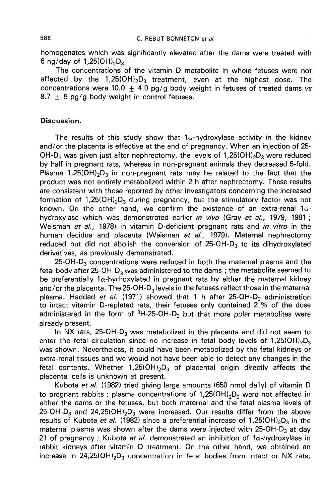homogenates which was significantly elevated after the dams were treated with 6 ng/day of  $1.25(OH)_{2}D_{2}$ . C. REBUT-BONNETON *et al.*<br>
ogenates which was significantly elevated after the dams were treated with<br>  $\frac{1}{2}$  /day of 1,25(OH)<sub>2</sub>D<sub>3</sub>.<br>
The concentrations of the vitamin D metabolite in whole fetuses were not<br>
the big E. REBUT-BONNETON *et al.*<br>
homogenates which was significantly elevated after the dams were treated with<br>
6 ng/day of 1,25(OH)<sub>2</sub>D<sub>3</sub>.<br>
The concentrations of the vitamin D metabolite in whole fetuses were not<br>
affected b

concentrations were 10.0  $+$  4.0 pg/g body weight in fetuses of treated dams vs  $8.7 + 5$  pg/g body weight in control fetuses.

# Discussion.

The results of this study show that  $1\alpha$ -hydroxylase activity in the kidney and/or the placenta is effective at the end of pregnancy. When an injection of 25- **Discussion.**<br>
The results of this study show that 1 $\alpha$ -hydroxylase activity in the kidney<br>
and/or the placenta is effective at the end of pregnancy. When an injection of 25-<br>
OH-D<sub>3</sub> was given just after nephrectomy, th by half in pregnant rats, whereas in non-pregnant animals they decreased 5-fold.<br>Plasma 1,25(OH)<sub>2</sub>D<sub>3</sub> in non-pregnant rats may be related to the fact that the The results of this study show that  $1\alpha$ -hydroxylase activity in the kidney<br>and/or the placenta is effective at the end of pregnancy. When an injection of 25-<br>OH-D<sub>3</sub> was given just after nephrectomy, the levels of 1,25( product was not entirely metabolized within 2 h after nephrectomy. These results are consistent with those reported by other investigators concerning the increased formation of  $1,25(OH)_2D_3$  during pregnancy, but the stimulatory factor was not OH-D<sub>3</sub> was given just after nephrectomy, the levels of 1,25(OH)<sub>2</sub>D<sub>3</sub> were reduced<br>by half in pregnant rats, whereas in non-pregnant animals they decreased 5-fold.<br>Plasma 1,25(OH)<sub>2</sub>D<sub>3</sub> in non-pregnant rats may be rela known. On the other hand, we confirm the existence of an extra-renal  $1\alpha$ hydroxylase which was demonstrated earlier in vivo (Gray et al., 1979, 1981 ; Weisman et al., 1978) in vitamin D-deficient pregnant rats and in vitro in the human decidua and placenta (Weisman *et al.,* 1979). Maternal nephrectomy known. On the other hand, we confirm the existence of an extra-renal 1 $\alpha$ -hydroxylase which was demonstrated earlier *in vivo* (Gray *et al.,* 1979, 1981 ; Weisman *et al.*, 1978) in vitamin D-deficient pregnant rats and derivatives, as previously demonstrated.<br>25-OH-D<sub>3</sub> concentrations were reduced in both the maternal plasma and the sman *et al.,* 1978) in vitamin D-deficient pregnant rats and *in vitro* in the an decidua and placenta (Weisman *et al.,* 1979). Maternal nephrectomy ced but did not abolish the conversion of 25-OH-D<sub>3</sub> to its dihydroxyl reduced but did not abolish the conversion of 25-OH-D<sub>3</sub> to its dihydroxylated<br>derivatives, as previously demonstrated.<br>25-OH-D<sub>3</sub> concentrations were reduced in both the maternal plasma and the<br>fetal body after 25-OH-D<sub>3</sub>

be preferentially 1 $\alpha$ -hydroxylated in pregnant rats by either the maternal kidney derivatives, as previously demonstrated.<br>
25-OH-D<sub>3</sub> concentrations were reduced in both the maternal plasma and the<br>
fetal body after 25-OH-D<sub>3</sub> was administered to the dams; the metabolite seemed to<br>
be preferentially 1 25-OH-D<sub>3</sub> concentrations were reduced in both the maternal plasma and the<br>fetal body after 25-OH-D<sub>3</sub> was administered to the dams; the metabolite seemed to<br>be preferentially  $1\alpha$ -hydroxylated in pregnant rats by either to intact vitamin D-repleted rats, their fetuses only contained 2 % of the dose already present. ma. Haddad *et al.* (1971) showed that 1 h after 25-OH-D<sub>3</sub> administration<br>tact vitamin D-repleted rats, their fetuses only contained 2 % of the dose<br>inistered in the form of <sup>3</sup>H-25-OH-D<sub>3</sub> but that more polar metabolite

was shown. Nevertheless, it could have been metabolized by the fetal kidneys or enter the fetal circulation since no increase in fetal body levels extra-renal tissues and we would not have been able to detect any changes in the fetal contents. Whether  $1,25(OH)_2D_3$  of placental origin directly affects the already present.<br>
In NX rats, 25-OH-D<sub>3</sub> was metabolized in the placenta and did not seem to<br>
enter the fetal circulation since no increase in fetal body levels of  $1,25(OH)_2D_3$ <br>
was shown. Nevertheless, it could have bee placental cells is unknown at present. was shown. Nevertheless, it could have been metabolized by the fetal kidneys on extra-renal tissues and we would not have been able to detect any changes in the fetal contents. Whether  $1,25(OH)_2D_3$  of placental origin di

Kubota et al. (1982) tried giving large amounts (650 nmol daily) of vitamin D either the dams or the fetuses, but both maternal and the fetal plasma levels of extra-renal tissues and we would not have been able to detect any changes in the<br>fetal contents. Whether 1,25(OH)<sub>2</sub>D<sub>3</sub> of placental origin directly affects the<br>placental cells is unknown at present.<br>Kubota *et al.* (198 placental cells is unknown at present.<br>
Kubota *et al.* (1982) tried giving large amounts (650 nmol daily) of vitamin D<br>
to pregnant rabbits : plasma concentrations of 1,25(OH)<sub>2</sub>D<sub>3</sub> were not affected in<br>
either the dams to pregnant rabbits : plasma concentrations of 1,25(OH)<sub>2</sub>D<sub>3</sub> were not affected in either the dams or the fetuses, but both maternal and the fetal plasma levels of 25-OH-D<sub>3</sub> and 24,25(OH)<sub>2</sub>D<sub>3</sub> were increased. Our resu 21 of pregnancy ; Kubota et al. demonstrated an inhibition of  $1\alpha$ -hydroxylase in rabbit kidneys after vitamin D treatment. On the other hand, we obtained an increase in 24,25(OH)<sub>2</sub>D<sub>3</sub> concentration in fetal bodies from intact or NX rats, either the dams or the fetuses, but both maternal and the fetal plasma levels of 25-OH-D<sub>3</sub> and 24,25(OH)<sub>2</sub>D<sub>3</sub> were increased. Our results differ from the above results of Kubota *et al.* (1982) since a preferential inc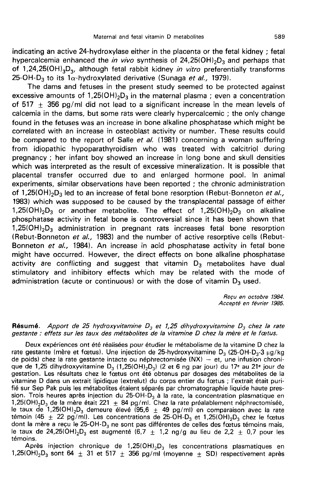indicating an active 24-hydroxylase either in the placenta or the fetal kidney; fetal<br>hypercalcemia enhanced the *in vivo* synthesis of 24,25(OH)<sub>2</sub>D<sub>3</sub> and perhaps that Maternal and fetal vitamin D metabolites and text in the fetal kidney; fetal<br>hypercalcemia enhanced the *in vivo* synthesis of 24,25(OH)<sub>2</sub>D<sub>3</sub> and perhaps that<br>of 1,24,25(OH)<sub>3</sub>D<sub>3</sub>, although fetal rabbit kidney *in vitro* Maternal and fetal vitamin D metabolites and fetal kidney; fetal<br>indicating an active 24-hydroxylase either in the placenta or the fetal kidney; fetal<br>hypercalcemia enhanced the *in vivo* synthesis of 24,25(OH)<sub>2</sub>D<sub>3</sub> and indicating an active 24-hydroxylase either in the placenta or the fe<br>hypercalcemia enhanced the *in vivo* synthesis of 24,25(OH)<sub>2</sub>D<sub>3</sub> a<br>of 1,24,25(OH)<sub>3</sub>D<sub>3</sub>, although fetal rabbit kidney *in vitro* preferen<br>25-OH-D<sub>3</sub> indicating an active 24-hydroxylase either in the placenta or the fetal kidney; fetal<br>hypercalcemia enhanced the *in vivo* synthesis of 24,25(OH)<sub>2</sub>D<sub>3</sub> and perhaps that<br>of 1,24,25(OH)<sub>3</sub>D<sub>3</sub>, although fetal rabbit kidney

The dams and fetuses in the present study seemed to be protected against excessive amounts of  $1.25(OH)_2D_3$  in the maternal plasma : even a concentration of  $517 + 356$  pg/ml did not lead to a significant increase in the mean levels of calcemia in the dams, but some rats were clearly hypercalcemic ; the only change found in the fetuses was an increase in bone alkaline phosphatase which might be correlated with an increase in osteoblast activity or number. These results could be compared to the report of Salle et al. (1981) concerning a woman suffering from idiopathic hypoparathyroidism who was treated with calcitriol during<br>pregnancy; her infant boy showed an increase in long bone and skull densities<br>which was interpreted as the result of excessive mineralization. It i pregnancy ; her infant boy showed an increase in long bone and skull densities which was interpreted as the result of excessive mineralization. It is possible that placental transfer occurred due to and enlarged hormone pool. In animal experiments, similar observations have been reported; the chroni placental transfer occurred due to and enlarged hormone pool. In animal experiments, similar observations have been reported ; the chronic administration<br>of 1,25(OH)<sub>2</sub>D<sub>3</sub> led to an increase of fetal bone resorption (Rebut-Bonneton *et al.*,<br>1983) which was supposed to be caused by the trans 1983) which was supposed to be caused by the transplacental passage of either 1,25(OH)<sub>2</sub>D<sub>3</sub> on alkaline phosphatase activity in fetal bone is controversial since it has been shown that  $1,25(OH)_2D_3$  administration in pregnant rats increases fetal bone resorption (Rebut-Bonneton et al., 1983) and the number of active resorptive cells (Rebut-Bonneton et al., 1984). An increase in acid phosphatase activity in fetal bone might have occurred. However, the direct effects on bone alkaline phosphatase activity are conflicting and suggest that vitamin  $D_3$  metabolites have dual stimulatory and inhibitory effects which may be related with the mode of administration (acute or continuous) or with the dose of vitamin  $D_3$  used.

> Reçu en octobre 1984. Accepte en février 1985.

## Résumé. Apport de 25 hydroxyvitamine  $D_3$  et 1,25 dihydroxyvitamine  $D_3$  chez la rate gestante : effets sur les taux des métabolites de la vitamine D chez la mère et le foetus.

Deux expériences ont été réalisées pour étudier le métabolisme de la vitamine D chez la<br>rate gestante (mère et fœtus). Une injection de 25-hydroxyvitamine D<sub>3</sub> (25-OH-D<sub>3</sub>-3 µg/kg) **Résumé.** Apport de 25 hydroxyvitamine D<sub>3</sub> et 1,25 dihydroxyvitamine D<sub>3</sub> chez la rate<br>gestante : effets sur les taux des métabolites de la vitamine D chez la mère et le fœtus.<br>Deux expériences ont été réalisées pour étu de poids) chez la rate gestante intacte ou néphrectomisée (NX) — et, une infusion chroni-<br>que de 1,25 dihydroxyvitamine D<sub>3</sub> (1,25(OH)<sub>2</sub>D<sub>3</sub>) (2 et 6 ng par jour) du 17<sup>e</sup> au 21<sup>e</sup> jour de **Résumé.** Apport de 25 hydroxyvitamine  $D_3$  et 1,25 dihydroxyvitamine  $D_3$  chez la rate<br>gestante : effets sur les taux des métabolites de la vitamine D chez la mère et le fœtus.<br>Deux expériences ont été réalisées pour é gestation. Les résultats chez le foetus ont été obtenus par dosages des métabolites de la vitamine D dans un extrait lipidique (extrelut) du corps entier du foetus ; l'extrait était purifié sur Sep Pak puis les métabolites étaient séparés par chromatographie liquide haute pres-<br>sion. Trois heures après injection du 25-OH-D<sub>3</sub> à la rate, la concentration plasmatique en de polds) chez la rate gestante intacte ou nephrectomisee ( $WX$ ) – et, une intusion chroni-<br>que de 1,25 dihydroxyvitamine D<sub>3</sub> (1,25(OHI<sub>2</sub>D<sub>3</sub>) (2 et 6 ng par jour) du 17<sup>e</sup> au 21<sup>e</sup> jour de<br>gestation. Les résultats chez que de 1,25 dinyaroxyvitalmine  $D_3$  (1,25(OH)<sub>2</sub>D<sub>3</sub>) (2 et 6 ng par jour) du 17<sup>e</sup> au 21<sup>e</sup> jour de<br>gestation. Les résultats chez le fœtus ont été obtenus par dosages des métabolites de la<br>vitamine D dans un extrait lip gestation. Les resultats criez le rœus ont ete obtenus par dosages des metabontes de la<br>vitamine D dans un extrait lipidique (extrelut) du corps entier du fœtus ; l'extrait était puri-<br>fié sur Sep Pak puis les métabolites fié sur Sep Pak puis les métabolites étaient séparés par chromatographie liquide haute pres-<br>sion. Trois heures après injection du 25-OH-D<sub>3</sub> à la rate, la concentration plasmatique en<br>1,25(OH)<sub>2</sub>D<sub>3</sub> de la mère était 221 témoins. UH<sub>2</sub>D<sub>3</sub> de la mere etait  $221 \pm 84$  pg/ml. Chez la rate prealablement nephrectomisee,<br>ux de 1,25(OH)<sub>2</sub>D<sub>3</sub> demeure élevé (95,6  $\pm$  49 pg/ml) en comparaison avec la rate<br>in (45  $\pm$  22 pg/ml). Les concentrations de 25témoin (45 ± 22 pg/ml). Les concentrations de 25-OH-D<sub>3</sub> et 1,25(OH)<sub>2</sub>D<sub>3</sub> chez le foetus<br>dont la mère a reçu le 25-OH-D<sub>3</sub> ne sont pas différentes de celles des foetus témoins mais,<br>le taux de 24,25(OH)<sub>2</sub>D<sub>3</sub> est augme